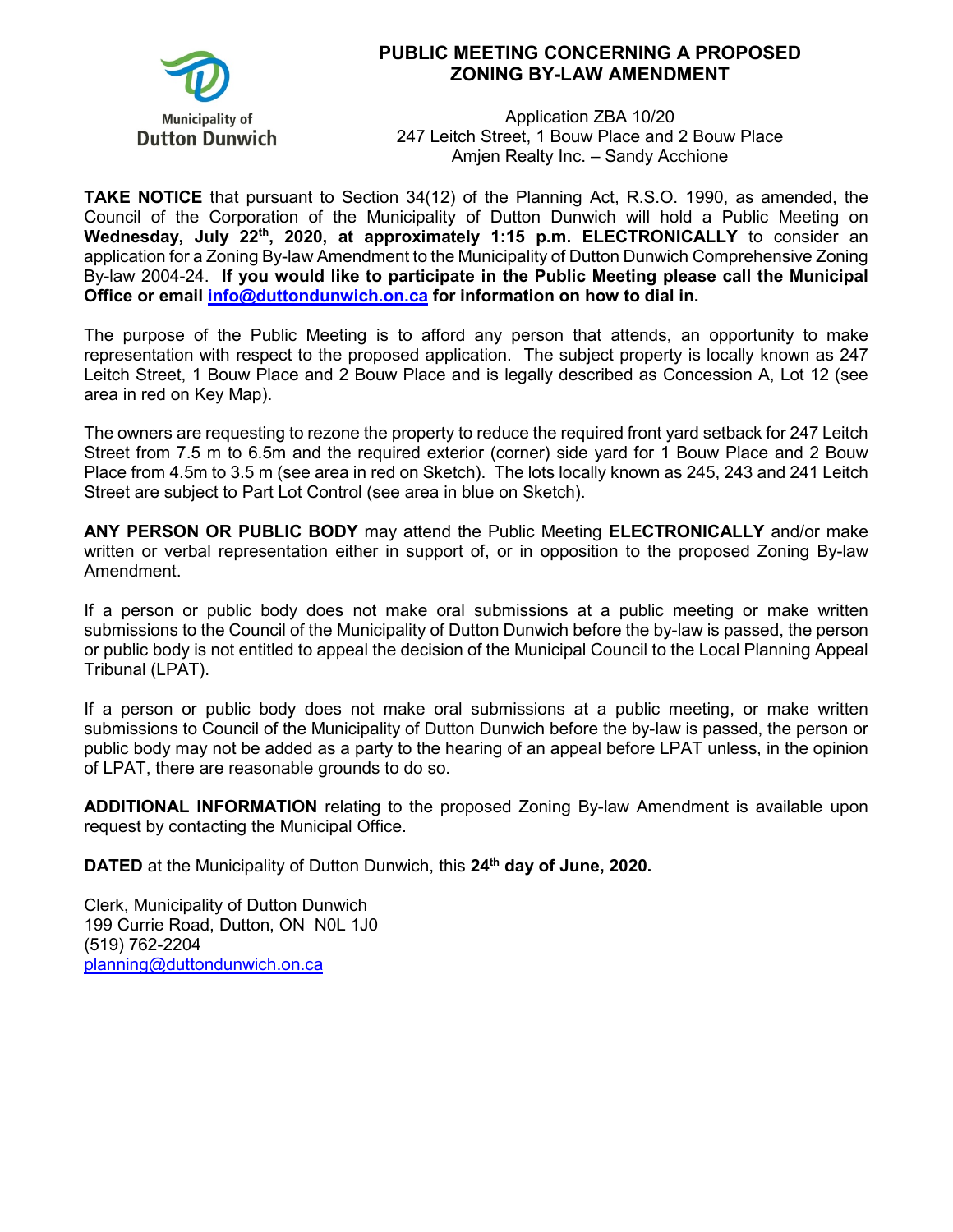

## **PUBLIC MEETING CONCERNING A PROPOSED ZONING BY-LAW AMENDMENT**

Application ZBA 10/20 247 Leitch Street, 1 Bouw Place and 2 Bouw Place Amjen Realty Inc. – Sandy Acchione

**TAKE NOTICE** that pursuant to Section 34(12) of the Planning Act, R.S.O. 1990, as amended, the Council of the Corporation of the Municipality of Dutton Dunwich will hold a Public Meeting on **Wednesday, July 22th, 2020, at approximately 1:15 p.m. ELECTRONICALLY** to consider an application for a Zoning By-law Amendment to the Municipality of Dutton Dunwich Comprehensive Zoning By-law 2004-24. **If you would like to participate in the Public Meeting please call the Municipal Office or email [info@duttondunwich.on.ca](mailto:info@duttondunwich.on.ca) for information on how to dial in.**

The purpose of the Public Meeting is to afford any person that attends, an opportunity to make representation with respect to the proposed application. The subject property is locally known as 247 Leitch Street, 1 Bouw Place and 2 Bouw Place and is legally described as Concession A, Lot 12 (see area in red on Key Map).

The owners are requesting to rezone the property to reduce the required front yard setback for 247 Leitch Street from 7.5 m to 6.5m and the required exterior (corner) side yard for 1 Bouw Place and 2 Bouw Place from 4.5m to 3.5 m (see area in red on Sketch). The lots locally known as 245, 243 and 241 Leitch Street are subject to Part Lot Control (see area in blue on Sketch).

**ANY PERSON OR PUBLIC BODY** may attend the Public Meeting **ELECTRONICALLY** and/or make written or verbal representation either in support of, or in opposition to the proposed Zoning By-law Amendment.

If a person or public body does not make oral submissions at a public meeting or make written submissions to the Council of the Municipality of Dutton Dunwich before the by-law is passed, the person or public body is not entitled to appeal the decision of the Municipal Council to the Local Planning Appeal Tribunal (LPAT).

If a person or public body does not make oral submissions at a public meeting, or make written submissions to Council of the Municipality of Dutton Dunwich before the by-law is passed, the person or public body may not be added as a party to the hearing of an appeal before LPAT unless, in the opinion of LPAT, there are reasonable grounds to do so.

**ADDITIONAL INFORMATION** relating to the proposed Zoning By-law Amendment is available upon request by contacting the Municipal Office.

**DATED** at the Municipality of Dutton Dunwich, this 24<sup>th</sup> day of June, 2020.

Clerk, Municipality of Dutton Dunwich 199 Currie Road, Dutton, ON N0L 1J0 (519) 762-2204 [planning@duttondunwich.on.ca](mailto:planning@duttondunwich.on.ca)